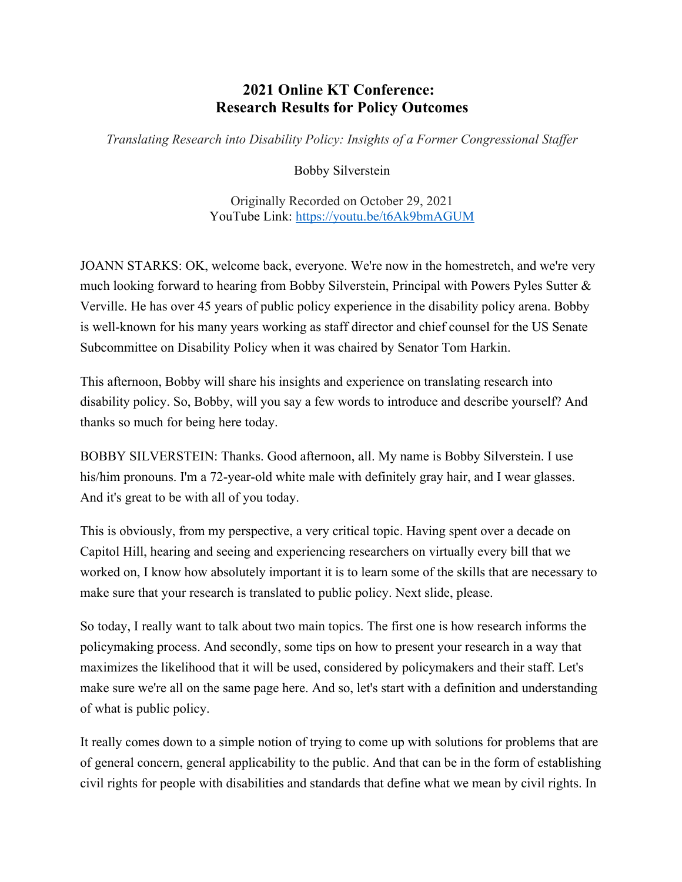## **2021 Online KT Conference: Research Results for Policy Outcomes**

*Translating Research into Disability Policy: Insights of a Former Congressional Staffer*

Bobby Silverstein

Originally Recorded on October 29, 2021 YouTube Link: <https://youtu.be/t6Ak9bmAGUM>

JOANN STARKS: OK, welcome back, everyone. We're now in the homestretch, and we're very much looking forward to hearing from Bobby Silverstein, Principal with Powers Pyles Sutter & Verville. He has over 45 years of public policy experience in the disability policy arena. Bobby is well-known for his many years working as staff director and chief counsel for the US Senate Subcommittee on Disability Policy when it was chaired by Senator Tom Harkin.

This afternoon, Bobby will share his insights and experience on translating research into disability policy. So, Bobby, will you say a few words to introduce and describe yourself? And thanks so much for being here today.

BOBBY SILVERSTEIN: Thanks. Good afternoon, all. My name is Bobby Silverstein. I use his/him pronouns. I'm a 72-year-old white male with definitely gray hair, and I wear glasses. And it's great to be with all of you today.

This is obviously, from my perspective, a very critical topic. Having spent over a decade on Capitol Hill, hearing and seeing and experiencing researchers on virtually every bill that we worked on, I know how absolutely important it is to learn some of the skills that are necessary to make sure that your research is translated to public policy. Next slide, please.

So today, I really want to talk about two main topics. The first one is how research informs the policymaking process. And secondly, some tips on how to present your research in a way that maximizes the likelihood that it will be used, considered by policymakers and their staff. Let's make sure we're all on the same page here. And so, let's start with a definition and understanding of what is public policy.

It really comes down to a simple notion of trying to come up with solutions for problems that are of general concern, general applicability to the public. And that can be in the form of establishing civil rights for people with disabilities and standards that define what we mean by civil rights. In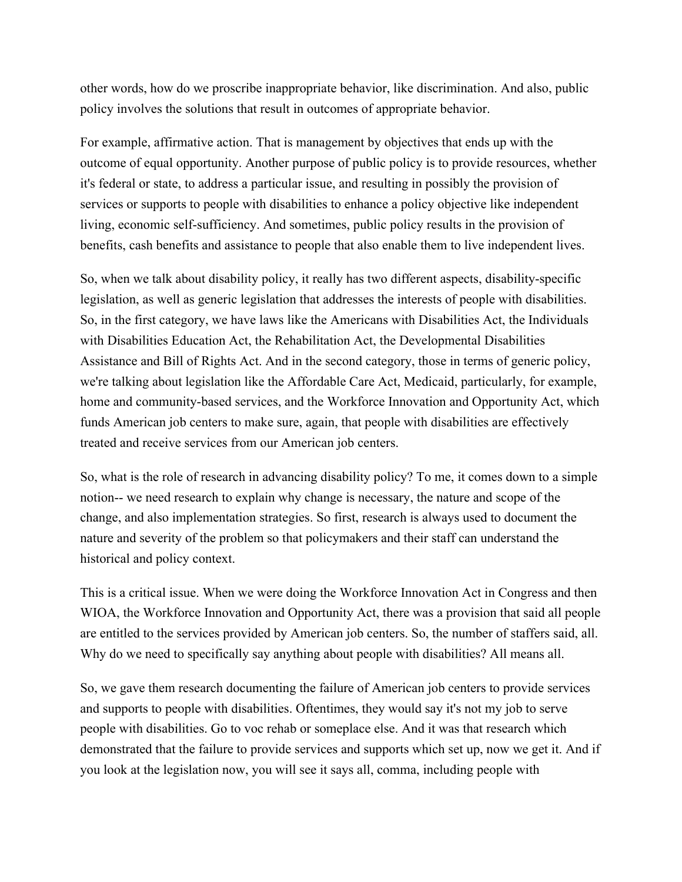other words, how do we proscribe inappropriate behavior, like discrimination. And also, public policy involves the solutions that result in outcomes of appropriate behavior.

For example, affirmative action. That is management by objectives that ends up with the outcome of equal opportunity. Another purpose of public policy is to provide resources, whether it's federal or state, to address a particular issue, and resulting in possibly the provision of services or supports to people with disabilities to enhance a policy objective like independent living, economic self-sufficiency. And sometimes, public policy results in the provision of benefits, cash benefits and assistance to people that also enable them to live independent lives.

So, when we talk about disability policy, it really has two different aspects, disability-specific legislation, as well as generic legislation that addresses the interests of people with disabilities. So, in the first category, we have laws like the Americans with Disabilities Act, the Individuals with Disabilities Education Act, the Rehabilitation Act, the Developmental Disabilities Assistance and Bill of Rights Act. And in the second category, those in terms of generic policy, we're talking about legislation like the Affordable Care Act, Medicaid, particularly, for example, home and community-based services, and the Workforce Innovation and Opportunity Act, which funds American job centers to make sure, again, that people with disabilities are effectively treated and receive services from our American job centers.

So, what is the role of research in advancing disability policy? To me, it comes down to a simple notion-- we need research to explain why change is necessary, the nature and scope of the change, and also implementation strategies. So first, research is always used to document the nature and severity of the problem so that policymakers and their staff can understand the historical and policy context.

This is a critical issue. When we were doing the Workforce Innovation Act in Congress and then WIOA, the Workforce Innovation and Opportunity Act, there was a provision that said all people are entitled to the services provided by American job centers. So, the number of staffers said, all. Why do we need to specifically say anything about people with disabilities? All means all.

So, we gave them research documenting the failure of American job centers to provide services and supports to people with disabilities. Oftentimes, they would say it's not my job to serve people with disabilities. Go to voc rehab or someplace else. And it was that research which demonstrated that the failure to provide services and supports which set up, now we get it. And if you look at the legislation now, you will see it says all, comma, including people with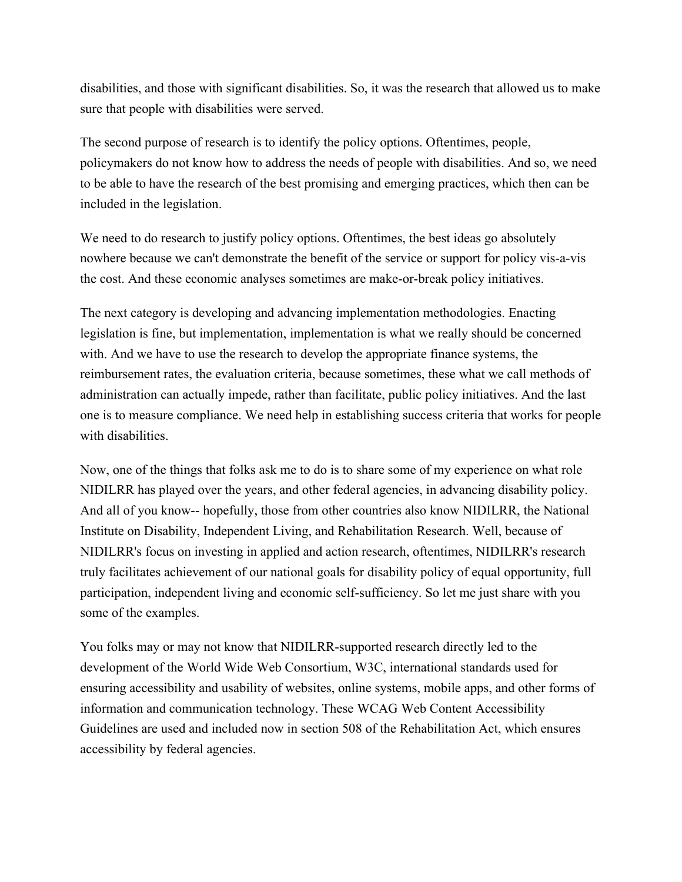disabilities, and those with significant disabilities. So, it was the research that allowed us to make sure that people with disabilities were served.

The second purpose of research is to identify the policy options. Oftentimes, people, policymakers do not know how to address the needs of people with disabilities. And so, we need to be able to have the research of the best promising and emerging practices, which then can be included in the legislation.

We need to do research to justify policy options. Oftentimes, the best ideas go absolutely nowhere because we can't demonstrate the benefit of the service or support for policy vis-a-vis the cost. And these economic analyses sometimes are make-or-break policy initiatives.

The next category is developing and advancing implementation methodologies. Enacting legislation is fine, but implementation, implementation is what we really should be concerned with. And we have to use the research to develop the appropriate finance systems, the reimbursement rates, the evaluation criteria, because sometimes, these what we call methods of administration can actually impede, rather than facilitate, public policy initiatives. And the last one is to measure compliance. We need help in establishing success criteria that works for people with disabilities.

Now, one of the things that folks ask me to do is to share some of my experience on what role NIDILRR has played over the years, and other federal agencies, in advancing disability policy. And all of you know-- hopefully, those from other countries also know NIDILRR, the National Institute on Disability, Independent Living, and Rehabilitation Research. Well, because of NIDILRR's focus on investing in applied and action research, oftentimes, NIDILRR's research truly facilitates achievement of our national goals for disability policy of equal opportunity, full participation, independent living and economic self-sufficiency. So let me just share with you some of the examples.

You folks may or may not know that NIDILRR-supported research directly led to the development of the World Wide Web Consortium, W3C, international standards used for ensuring accessibility and usability of websites, online systems, mobile apps, and other forms of information and communication technology. These WCAG Web Content Accessibility Guidelines are used and included now in section 508 of the Rehabilitation Act, which ensures accessibility by federal agencies.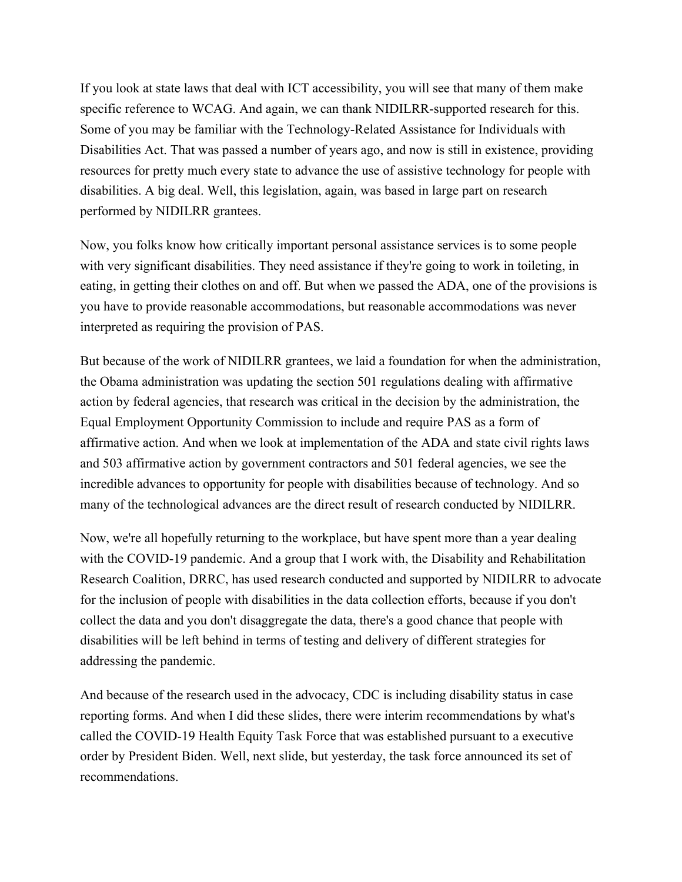If you look at state laws that deal with ICT accessibility, you will see that many of them make specific reference to WCAG. And again, we can thank NIDILRR-supported research for this. Some of you may be familiar with the Technology-Related Assistance for Individuals with Disabilities Act. That was passed a number of years ago, and now is still in existence, providing resources for pretty much every state to advance the use of assistive technology for people with disabilities. A big deal. Well, this legislation, again, was based in large part on research performed by NIDILRR grantees.

Now, you folks know how critically important personal assistance services is to some people with very significant disabilities. They need assistance if they're going to work in toileting, in eating, in getting their clothes on and off. But when we passed the ADA, one of the provisions is you have to provide reasonable accommodations, but reasonable accommodations was never interpreted as requiring the provision of PAS.

But because of the work of NIDILRR grantees, we laid a foundation for when the administration, the Obama administration was updating the section 501 regulations dealing with affirmative action by federal agencies, that research was critical in the decision by the administration, the Equal Employment Opportunity Commission to include and require PAS as a form of affirmative action. And when we look at implementation of the ADA and state civil rights laws and 503 affirmative action by government contractors and 501 federal agencies, we see the incredible advances to opportunity for people with disabilities because of technology. And so many of the technological advances are the direct result of research conducted by NIDILRR.

Now, we're all hopefully returning to the workplace, but have spent more than a year dealing with the COVID-19 pandemic. And a group that I work with, the Disability and Rehabilitation Research Coalition, DRRC, has used research conducted and supported by NIDILRR to advocate for the inclusion of people with disabilities in the data collection efforts, because if you don't collect the data and you don't disaggregate the data, there's a good chance that people with disabilities will be left behind in terms of testing and delivery of different strategies for addressing the pandemic.

And because of the research used in the advocacy, CDC is including disability status in case reporting forms. And when I did these slides, there were interim recommendations by what's called the COVID-19 Health Equity Task Force that was established pursuant to a executive order by President Biden. Well, next slide, but yesterday, the task force announced its set of recommendations.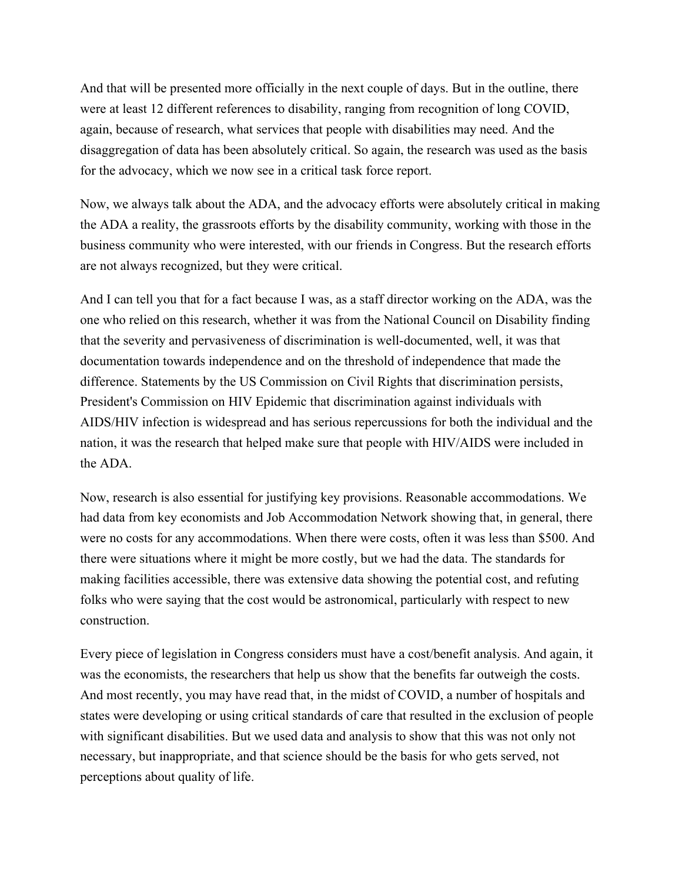And that will be presented more officially in the next couple of days. But in the outline, there were at least 12 different references to disability, ranging from recognition of long COVID, again, because of research, what services that people with disabilities may need. And the disaggregation of data has been absolutely critical. So again, the research was used as the basis for the advocacy, which we now see in a critical task force report.

Now, we always talk about the ADA, and the advocacy efforts were absolutely critical in making the ADA a reality, the grassroots efforts by the disability community, working with those in the business community who were interested, with our friends in Congress. But the research efforts are not always recognized, but they were critical.

And I can tell you that for a fact because I was, as a staff director working on the ADA, was the one who relied on this research, whether it was from the National Council on Disability finding that the severity and pervasiveness of discrimination is well-documented, well, it was that documentation towards independence and on the threshold of independence that made the difference. Statements by the US Commission on Civil Rights that discrimination persists, President's Commission on HIV Epidemic that discrimination against individuals with AIDS/HIV infection is widespread and has serious repercussions for both the individual and the nation, it was the research that helped make sure that people with HIV/AIDS were included in the ADA.

Now, research is also essential for justifying key provisions. Reasonable accommodations. We had data from key economists and Job Accommodation Network showing that, in general, there were no costs for any accommodations. When there were costs, often it was less than \$500. And there were situations where it might be more costly, but we had the data. The standards for making facilities accessible, there was extensive data showing the potential cost, and refuting folks who were saying that the cost would be astronomical, particularly with respect to new construction.

Every piece of legislation in Congress considers must have a cost/benefit analysis. And again, it was the economists, the researchers that help us show that the benefits far outweigh the costs. And most recently, you may have read that, in the midst of COVID, a number of hospitals and states were developing or using critical standards of care that resulted in the exclusion of people with significant disabilities. But we used data and analysis to show that this was not only not necessary, but inappropriate, and that science should be the basis for who gets served, not perceptions about quality of life.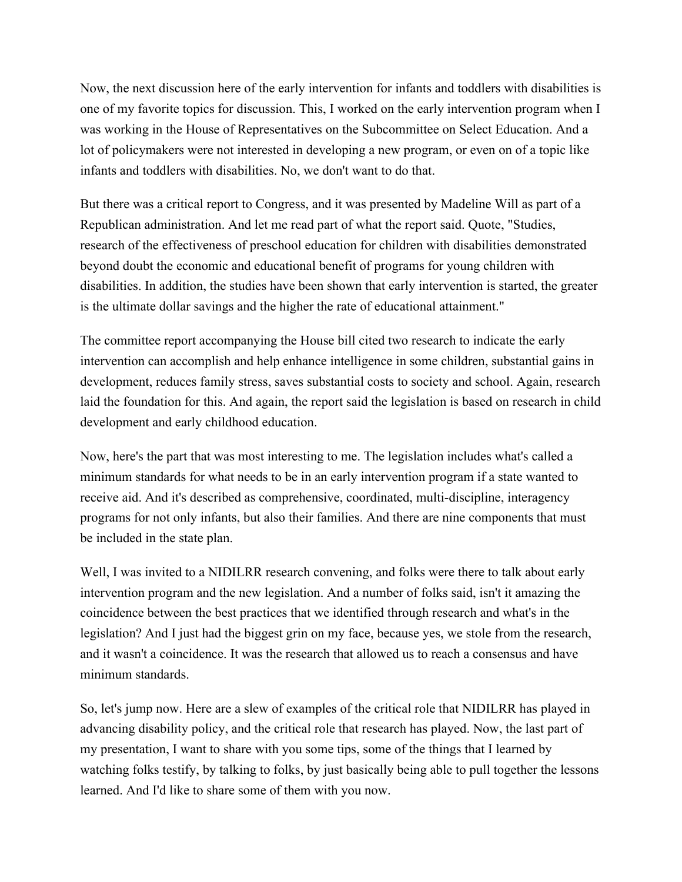Now, the next discussion here of the early intervention for infants and toddlers with disabilities is one of my favorite topics for discussion. This, I worked on the early intervention program when I was working in the House of Representatives on the Subcommittee on Select Education. And a lot of policymakers were not interested in developing a new program, or even on of a topic like infants and toddlers with disabilities. No, we don't want to do that.

But there was a critical report to Congress, and it was presented by Madeline Will as part of a Republican administration. And let me read part of what the report said. Quote, "Studies, research of the effectiveness of preschool education for children with disabilities demonstrated beyond doubt the economic and educational benefit of programs for young children with disabilities. In addition, the studies have been shown that early intervention is started, the greater is the ultimate dollar savings and the higher the rate of educational attainment."

The committee report accompanying the House bill cited two research to indicate the early intervention can accomplish and help enhance intelligence in some children, substantial gains in development, reduces family stress, saves substantial costs to society and school. Again, research laid the foundation for this. And again, the report said the legislation is based on research in child development and early childhood education.

Now, here's the part that was most interesting to me. The legislation includes what's called a minimum standards for what needs to be in an early intervention program if a state wanted to receive aid. And it's described as comprehensive, coordinated, multi-discipline, interagency programs for not only infants, but also their families. And there are nine components that must be included in the state plan.

Well, I was invited to a NIDILRR research convening, and folks were there to talk about early intervention program and the new legislation. And a number of folks said, isn't it amazing the coincidence between the best practices that we identified through research and what's in the legislation? And I just had the biggest grin on my face, because yes, we stole from the research, and it wasn't a coincidence. It was the research that allowed us to reach a consensus and have minimum standards.

So, let's jump now. Here are a slew of examples of the critical role that NIDILRR has played in advancing disability policy, and the critical role that research has played. Now, the last part of my presentation, I want to share with you some tips, some of the things that I learned by watching folks testify, by talking to folks, by just basically being able to pull together the lessons learned. And I'd like to share some of them with you now.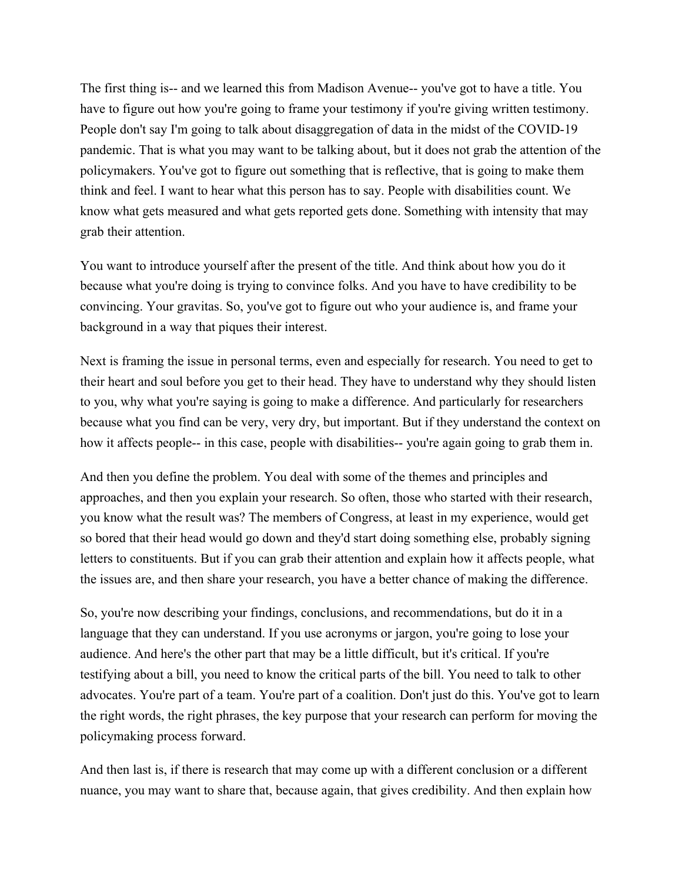The first thing is-- and we learned this from Madison Avenue-- you've got to have a title. You have to figure out how you're going to frame your testimony if you're giving written testimony. People don't say I'm going to talk about disaggregation of data in the midst of the COVID-19 pandemic. That is what you may want to be talking about, but it does not grab the attention of the policymakers. You've got to figure out something that is reflective, that is going to make them think and feel. I want to hear what this person has to say. People with disabilities count. We know what gets measured and what gets reported gets done. Something with intensity that may grab their attention.

You want to introduce yourself after the present of the title. And think about how you do it because what you're doing is trying to convince folks. And you have to have credibility to be convincing. Your gravitas. So, you've got to figure out who your audience is, and frame your background in a way that piques their interest.

Next is framing the issue in personal terms, even and especially for research. You need to get to their heart and soul before you get to their head. They have to understand why they should listen to you, why what you're saying is going to make a difference. And particularly for researchers because what you find can be very, very dry, but important. But if they understand the context on how it affects people-- in this case, people with disabilities-- you're again going to grab them in.

And then you define the problem. You deal with some of the themes and principles and approaches, and then you explain your research. So often, those who started with their research, you know what the result was? The members of Congress, at least in my experience, would get so bored that their head would go down and they'd start doing something else, probably signing letters to constituents. But if you can grab their attention and explain how it affects people, what the issues are, and then share your research, you have a better chance of making the difference.

So, you're now describing your findings, conclusions, and recommendations, but do it in a language that they can understand. If you use acronyms or jargon, you're going to lose your audience. And here's the other part that may be a little difficult, but it's critical. If you're testifying about a bill, you need to know the critical parts of the bill. You need to talk to other advocates. You're part of a team. You're part of a coalition. Don't just do this. You've got to learn the right words, the right phrases, the key purpose that your research can perform for moving the policymaking process forward.

And then last is, if there is research that may come up with a different conclusion or a different nuance, you may want to share that, because again, that gives credibility. And then explain how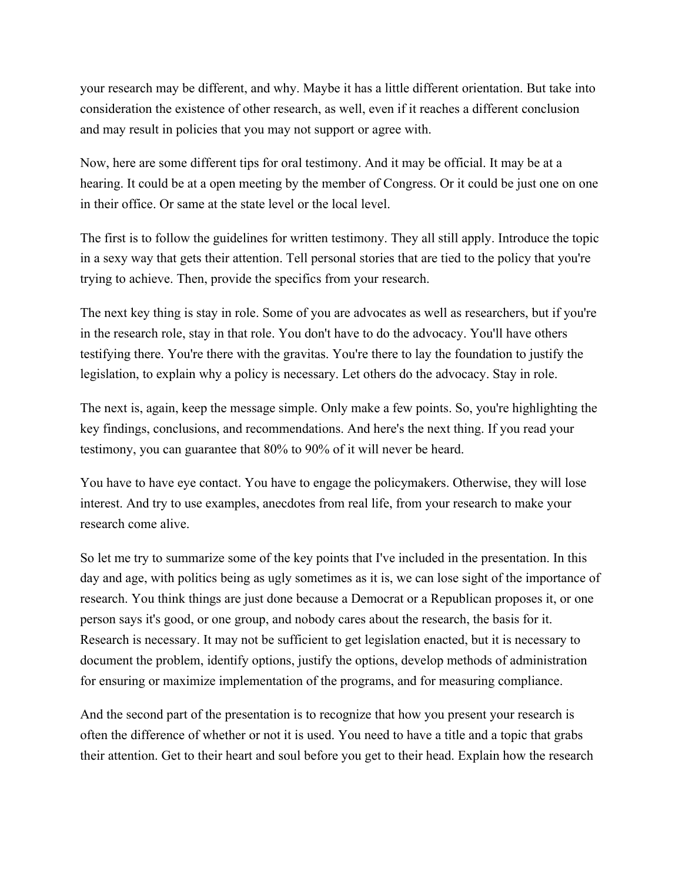your research may be different, and why. Maybe it has a little different orientation. But take into consideration the existence of other research, as well, even if it reaches a different conclusion and may result in policies that you may not support or agree with.

Now, here are some different tips for oral testimony. And it may be official. It may be at a hearing. It could be at a open meeting by the member of Congress. Or it could be just one on one in their office. Or same at the state level or the local level.

The first is to follow the guidelines for written testimony. They all still apply. Introduce the topic in a sexy way that gets their attention. Tell personal stories that are tied to the policy that you're trying to achieve. Then, provide the specifics from your research.

The next key thing is stay in role. Some of you are advocates as well as researchers, but if you're in the research role, stay in that role. You don't have to do the advocacy. You'll have others testifying there. You're there with the gravitas. You're there to lay the foundation to justify the legislation, to explain why a policy is necessary. Let others do the advocacy. Stay in role.

The next is, again, keep the message simple. Only make a few points. So, you're highlighting the key findings, conclusions, and recommendations. And here's the next thing. If you read your testimony, you can guarantee that 80% to 90% of it will never be heard.

You have to have eye contact. You have to engage the policymakers. Otherwise, they will lose interest. And try to use examples, anecdotes from real life, from your research to make your research come alive.

So let me try to summarize some of the key points that I've included in the presentation. In this day and age, with politics being as ugly sometimes as it is, we can lose sight of the importance of research. You think things are just done because a Democrat or a Republican proposes it, or one person says it's good, or one group, and nobody cares about the research, the basis for it. Research is necessary. It may not be sufficient to get legislation enacted, but it is necessary to document the problem, identify options, justify the options, develop methods of administration for ensuring or maximize implementation of the programs, and for measuring compliance.

And the second part of the presentation is to recognize that how you present your research is often the difference of whether or not it is used. You need to have a title and a topic that grabs their attention. Get to their heart and soul before you get to their head. Explain how the research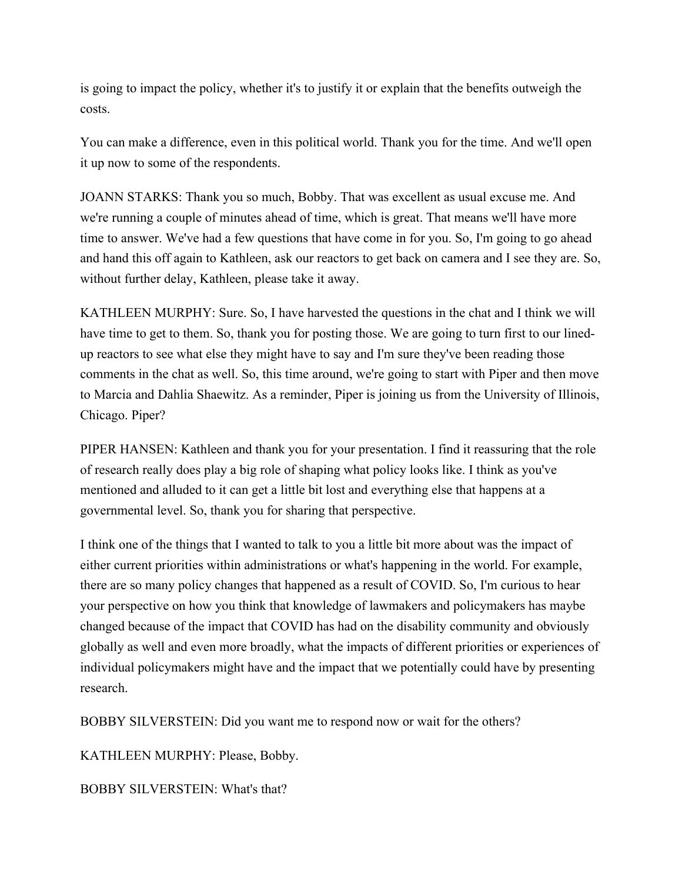is going to impact the policy, whether it's to justify it or explain that the benefits outweigh the costs.

You can make a difference, even in this political world. Thank you for the time. And we'll open it up now to some of the respondents.

JOANN STARKS: Thank you so much, Bobby. That was excellent as usual excuse me. And we're running a couple of minutes ahead of time, which is great. That means we'll have more time to answer. We've had a few questions that have come in for you. So, I'm going to go ahead and hand this off again to Kathleen, ask our reactors to get back on camera and I see they are. So, without further delay, Kathleen, please take it away.

KATHLEEN MURPHY: Sure. So, I have harvested the questions in the chat and I think we will have time to get to them. So, thank you for posting those. We are going to turn first to our linedup reactors to see what else they might have to say and I'm sure they've been reading those comments in the chat as well. So, this time around, we're going to start with Piper and then move to Marcia and Dahlia Shaewitz. As a reminder, Piper is joining us from the University of Illinois, Chicago. Piper?

PIPER HANSEN: Kathleen and thank you for your presentation. I find it reassuring that the role of research really does play a big role of shaping what policy looks like. I think as you've mentioned and alluded to it can get a little bit lost and everything else that happens at a governmental level. So, thank you for sharing that perspective.

I think one of the things that I wanted to talk to you a little bit more about was the impact of either current priorities within administrations or what's happening in the world. For example, there are so many policy changes that happened as a result of COVID. So, I'm curious to hear your perspective on how you think that knowledge of lawmakers and policymakers has maybe changed because of the impact that COVID has had on the disability community and obviously globally as well and even more broadly, what the impacts of different priorities or experiences of individual policymakers might have and the impact that we potentially could have by presenting research.

BOBBY SILVERSTEIN: Did you want me to respond now or wait for the others?

KATHLEEN MURPHY: Please, Bobby.

BOBBY SILVERSTEIN: What's that?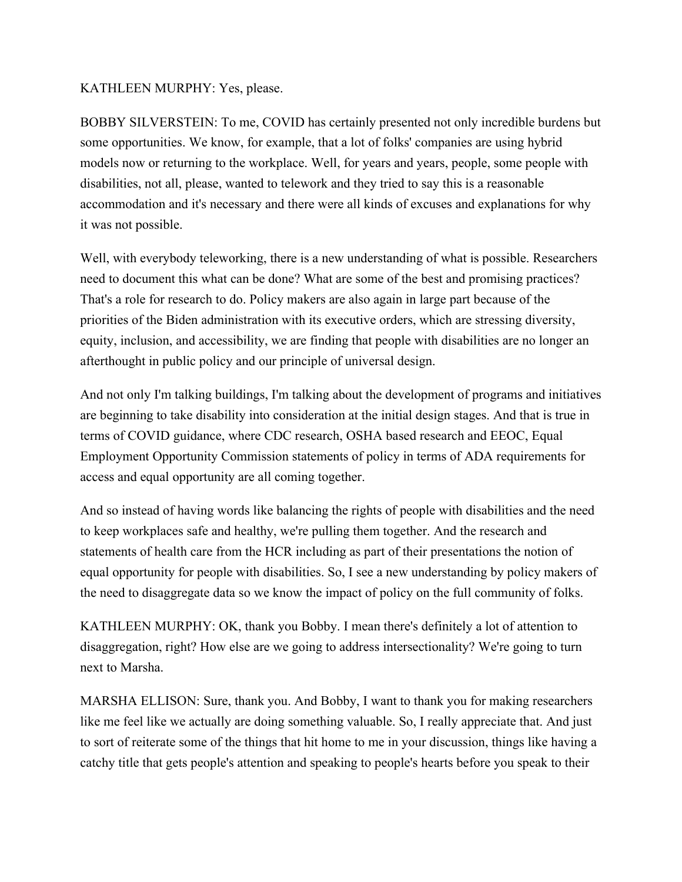## KATHLEEN MURPHY: Yes, please.

BOBBY SILVERSTEIN: To me, COVID has certainly presented not only incredible burdens but some opportunities. We know, for example, that a lot of folks' companies are using hybrid models now or returning to the workplace. Well, for years and years, people, some people with disabilities, not all, please, wanted to telework and they tried to say this is a reasonable accommodation and it's necessary and there were all kinds of excuses and explanations for why it was not possible.

Well, with everybody teleworking, there is a new understanding of what is possible. Researchers need to document this what can be done? What are some of the best and promising practices? That's a role for research to do. Policy makers are also again in large part because of the priorities of the Biden administration with its executive orders, which are stressing diversity, equity, inclusion, and accessibility, we are finding that people with disabilities are no longer an afterthought in public policy and our principle of universal design.

And not only I'm talking buildings, I'm talking about the development of programs and initiatives are beginning to take disability into consideration at the initial design stages. And that is true in terms of COVID guidance, where CDC research, OSHA based research and EEOC, Equal Employment Opportunity Commission statements of policy in terms of ADA requirements for access and equal opportunity are all coming together.

And so instead of having words like balancing the rights of people with disabilities and the need to keep workplaces safe and healthy, we're pulling them together. And the research and statements of health care from the HCR including as part of their presentations the notion of equal opportunity for people with disabilities. So, I see a new understanding by policy makers of the need to disaggregate data so we know the impact of policy on the full community of folks.

KATHLEEN MURPHY: OK, thank you Bobby. I mean there's definitely a lot of attention to disaggregation, right? How else are we going to address intersectionality? We're going to turn next to Marsha.

MARSHA ELLISON: Sure, thank you. And Bobby, I want to thank you for making researchers like me feel like we actually are doing something valuable. So, I really appreciate that. And just to sort of reiterate some of the things that hit home to me in your discussion, things like having a catchy title that gets people's attention and speaking to people's hearts before you speak to their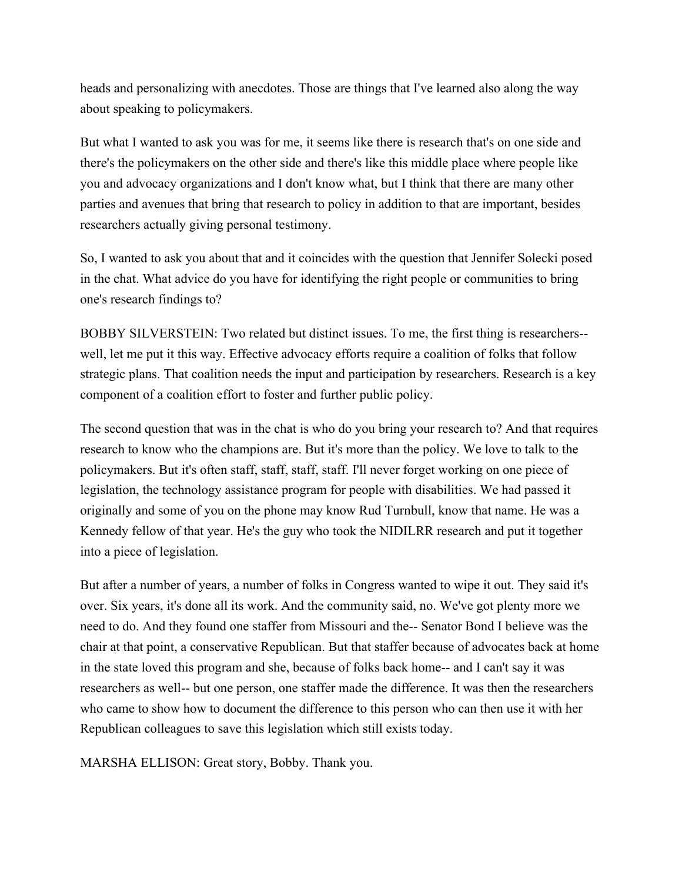heads and personalizing with anecdotes. Those are things that I've learned also along the way about speaking to policymakers.

But what I wanted to ask you was for me, it seems like there is research that's on one side and there's the policymakers on the other side and there's like this middle place where people like you and advocacy organizations and I don't know what, but I think that there are many other parties and avenues that bring that research to policy in addition to that are important, besides researchers actually giving personal testimony.

So, I wanted to ask you about that and it coincides with the question that Jennifer Solecki posed in the chat. What advice do you have for identifying the right people or communities to bring one's research findings to?

BOBBY SILVERSTEIN: Two related but distinct issues. To me, the first thing is researchers- well, let me put it this way. Effective advocacy efforts require a coalition of folks that follow strategic plans. That coalition needs the input and participation by researchers. Research is a key component of a coalition effort to foster and further public policy.

The second question that was in the chat is who do you bring your research to? And that requires research to know who the champions are. But it's more than the policy. We love to talk to the policymakers. But it's often staff, staff, staff, staff. I'll never forget working on one piece of legislation, the technology assistance program for people with disabilities. We had passed it originally and some of you on the phone may know Rud Turnbull, know that name. He was a Kennedy fellow of that year. He's the guy who took the NIDILRR research and put it together into a piece of legislation.

But after a number of years, a number of folks in Congress wanted to wipe it out. They said it's over. Six years, it's done all its work. And the community said, no. We've got plenty more we need to do. And they found one staffer from Missouri and the-- Senator Bond I believe was the chair at that point, a conservative Republican. But that staffer because of advocates back at home in the state loved this program and she, because of folks back home-- and I can't say it was researchers as well-- but one person, one staffer made the difference. It was then the researchers who came to show how to document the difference to this person who can then use it with her Republican colleagues to save this legislation which still exists today.

MARSHA ELLISON: Great story, Bobby. Thank you.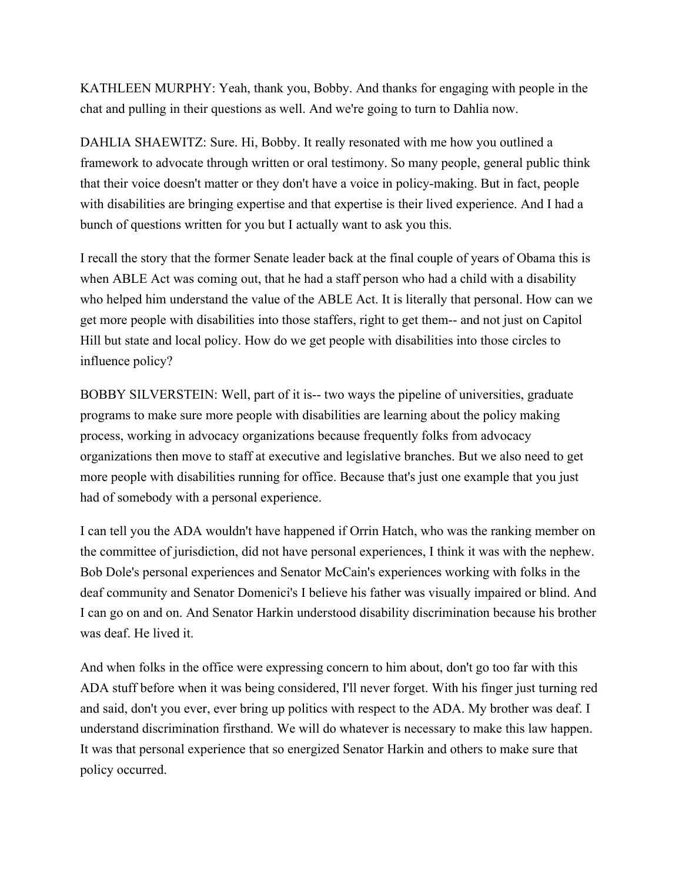KATHLEEN MURPHY: Yeah, thank you, Bobby. And thanks for engaging with people in the chat and pulling in their questions as well. And we're going to turn to Dahlia now.

DAHLIA SHAEWITZ: Sure. Hi, Bobby. It really resonated with me how you outlined a framework to advocate through written or oral testimony. So many people, general public think that their voice doesn't matter or they don't have a voice in policy-making. But in fact, people with disabilities are bringing expertise and that expertise is their lived experience. And I had a bunch of questions written for you but I actually want to ask you this.

I recall the story that the former Senate leader back at the final couple of years of Obama this is when ABLE Act was coming out, that he had a staff person who had a child with a disability who helped him understand the value of the ABLE Act. It is literally that personal. How can we get more people with disabilities into those staffers, right to get them-- and not just on Capitol Hill but state and local policy. How do we get people with disabilities into those circles to influence policy?

BOBBY SILVERSTEIN: Well, part of it is-- two ways the pipeline of universities, graduate programs to make sure more people with disabilities are learning about the policy making process, working in advocacy organizations because frequently folks from advocacy organizations then move to staff at executive and legislative branches. But we also need to get more people with disabilities running for office. Because that's just one example that you just had of somebody with a personal experience.

I can tell you the ADA wouldn't have happened if Orrin Hatch, who was the ranking member on the committee of jurisdiction, did not have personal experiences, I think it was with the nephew. Bob Dole's personal experiences and Senator McCain's experiences working with folks in the deaf community and Senator Domenici's I believe his father was visually impaired or blind. And I can go on and on. And Senator Harkin understood disability discrimination because his brother was deaf. He lived it.

And when folks in the office were expressing concern to him about, don't go too far with this ADA stuff before when it was being considered, I'll never forget. With his finger just turning red and said, don't you ever, ever bring up politics with respect to the ADA. My brother was deaf. I understand discrimination firsthand. We will do whatever is necessary to make this law happen. It was that personal experience that so energized Senator Harkin and others to make sure that policy occurred.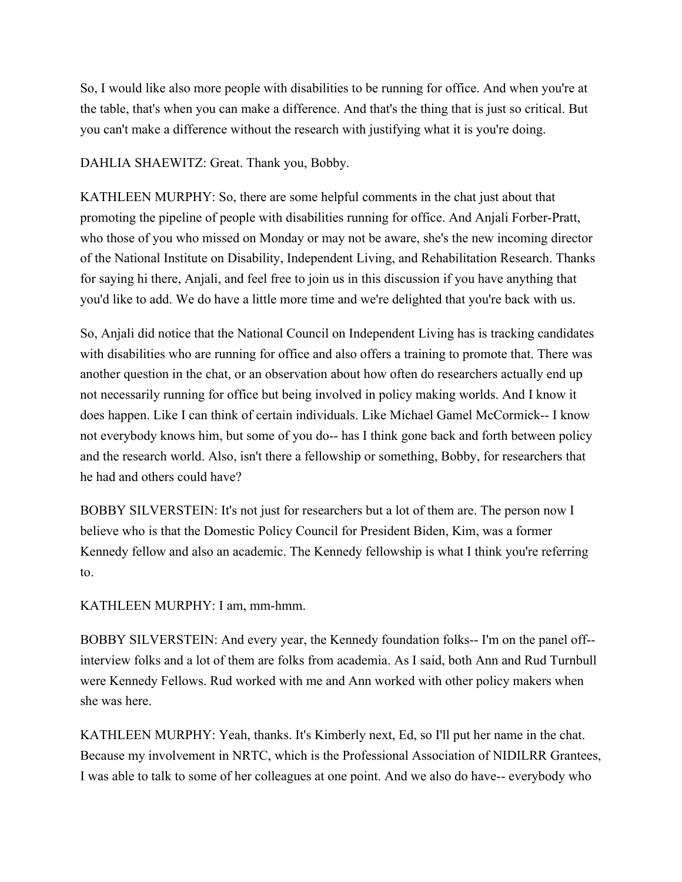So, I would like also more people with disabilities to be running for office. And when you're at the table, that's when you can make a difference. And that's the thing that is just so critical. But you can't make a difference without the research with justifying what it is you're doing.

DAHLIA SHAEWITZ: Great. Thank you, Bobby.

KATHLEEN MURPHY: So, there are some helpful comments in the chat just about that promoting the pipeline of people with disabilities running for office. And Anjali Forber-Pratt, who those of you who missed on Monday or may not be aware, she's the new incoming director of the National Institute on Disability, Independent Living, and Rehabilitation Research. Thanks for saying hi there, Anjali, and feel free to join us in this discussion if you have anything that you'd like to add. We do have a little more time and we're delighted that you're back with us.

So, Anjali did notice that the National Council on Independent Living has is tracking candidates with disabilities who are running for office and also offers a training to promote that. There was another question in the chat, or an observation about how often do researchers actually end up not necessarily running for office but being involved in policy making worlds. And I know it does happen. Like I can think of certain individuals. Like Michael Gamel McCormick-- I know not everybody knows him, but some of you do-- has I think gone back and forth between policy and the research world. Also, isn't there a fellowship or something, Bobby, for researchers that he had and others could have?

BOBBY SILVERSTEIN: It's not just for researchers but a lot of them are. The person now I believe who is that the Domestic Policy Council for President Biden, Kim, was a former Kennedy fellow and also an academic. The Kennedy fellowship is what I think you're referring to.

KATHLEEN MURPHY: I am, mm-hmm.

BOBBY SILVERSTEIN: And every year, the Kennedy foundation folks-- I'm on the panel off- interview folks and a lot of them are folks from academia. As I said, both Ann and Rud Turnbull were Kennedy Fellows. Rud worked with me and Ann worked with other policy makers when she was here.

KATHLEEN MURPHY: Yeah, thanks. It's Kimberly next, Ed, so I'll put her name in the chat. Because my involvement in NRTC, which is the Professional Association of NIDILRR Grantees, I was able to talk to some of her colleagues at one point. And we also do have-- everybody who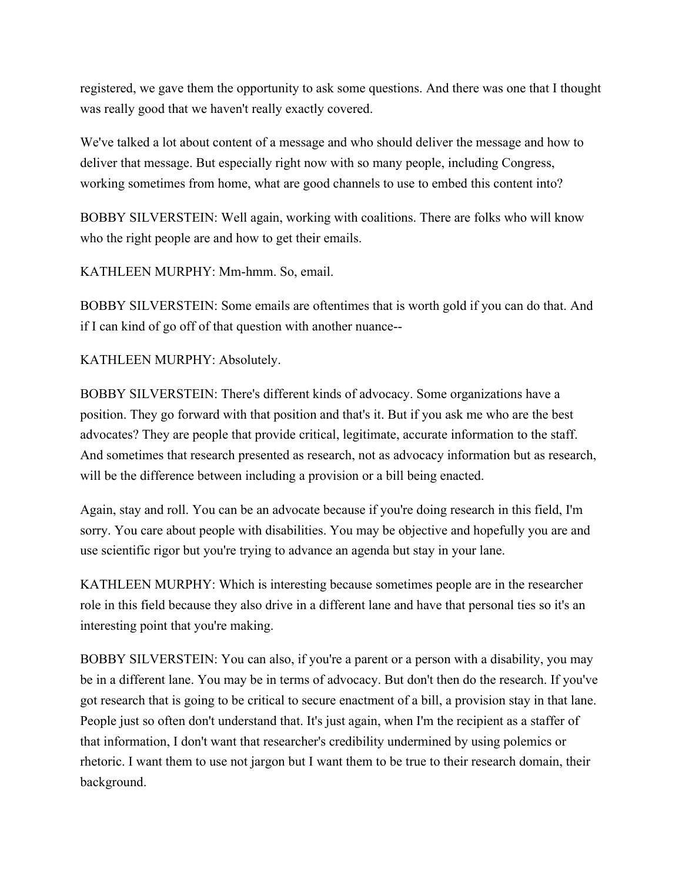registered, we gave them the opportunity to ask some questions. And there was one that I thought was really good that we haven't really exactly covered.

We've talked a lot about content of a message and who should deliver the message and how to deliver that message. But especially right now with so many people, including Congress, working sometimes from home, what are good channels to use to embed this content into?

BOBBY SILVERSTEIN: Well again, working with coalitions. There are folks who will know who the right people are and how to get their emails.

KATHLEEN MURPHY: Mm-hmm. So, email.

BOBBY SILVERSTEIN: Some emails are oftentimes that is worth gold if you can do that. And if I can kind of go off of that question with another nuance--

KATHLEEN MURPHY: Absolutely.

BOBBY SILVERSTEIN: There's different kinds of advocacy. Some organizations have a position. They go forward with that position and that's it. But if you ask me who are the best advocates? They are people that provide critical, legitimate, accurate information to the staff. And sometimes that research presented as research, not as advocacy information but as research, will be the difference between including a provision or a bill being enacted.

Again, stay and roll. You can be an advocate because if you're doing research in this field, I'm sorry. You care about people with disabilities. You may be objective and hopefully you are and use scientific rigor but you're trying to advance an agenda but stay in your lane.

KATHLEEN MURPHY: Which is interesting because sometimes people are in the researcher role in this field because they also drive in a different lane and have that personal ties so it's an interesting point that you're making.

BOBBY SILVERSTEIN: You can also, if you're a parent or a person with a disability, you may be in a different lane. You may be in terms of advocacy. But don't then do the research. If you've got research that is going to be critical to secure enactment of a bill, a provision stay in that lane. People just so often don't understand that. It's just again, when I'm the recipient as a staffer of that information, I don't want that researcher's credibility undermined by using polemics or rhetoric. I want them to use not jargon but I want them to be true to their research domain, their background.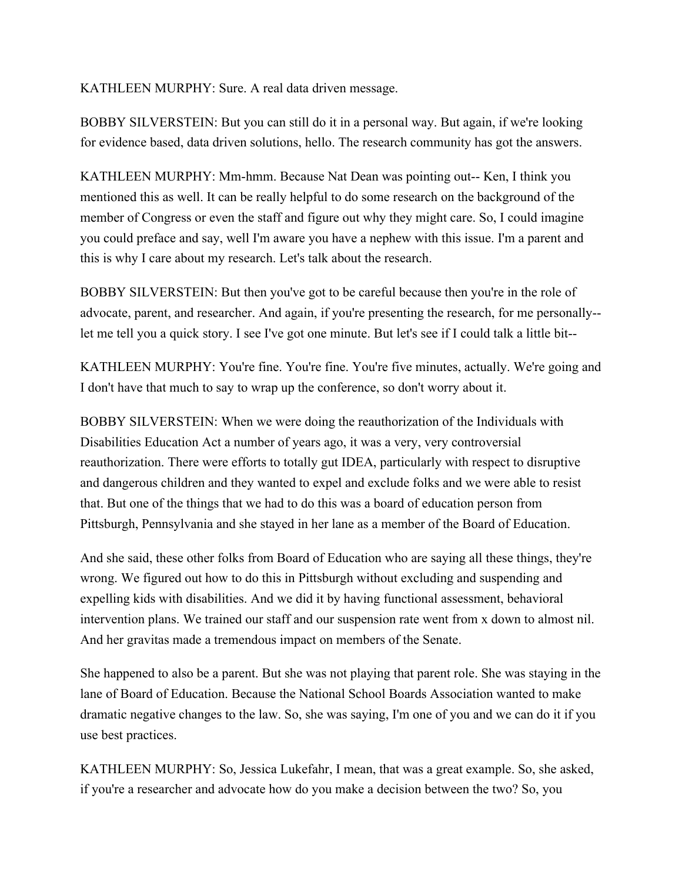## KATHLEEN MURPHY: Sure. A real data driven message.

BOBBY SILVERSTEIN: But you can still do it in a personal way. But again, if we're looking for evidence based, data driven solutions, hello. The research community has got the answers.

KATHLEEN MURPHY: Mm-hmm. Because Nat Dean was pointing out-- Ken, I think you mentioned this as well. It can be really helpful to do some research on the background of the member of Congress or even the staff and figure out why they might care. So, I could imagine you could preface and say, well I'm aware you have a nephew with this issue. I'm a parent and this is why I care about my research. Let's talk about the research.

BOBBY SILVERSTEIN: But then you've got to be careful because then you're in the role of advocate, parent, and researcher. And again, if you're presenting the research, for me personally- let me tell you a quick story. I see I've got one minute. But let's see if I could talk a little bit--

KATHLEEN MURPHY: You're fine. You're fine. You're five minutes, actually. We're going and I don't have that much to say to wrap up the conference, so don't worry about it.

BOBBY SILVERSTEIN: When we were doing the reauthorization of the Individuals with Disabilities Education Act a number of years ago, it was a very, very controversial reauthorization. There were efforts to totally gut IDEA, particularly with respect to disruptive and dangerous children and they wanted to expel and exclude folks and we were able to resist that. But one of the things that we had to do this was a board of education person from Pittsburgh, Pennsylvania and she stayed in her lane as a member of the Board of Education.

And she said, these other folks from Board of Education who are saying all these things, they're wrong. We figured out how to do this in Pittsburgh without excluding and suspending and expelling kids with disabilities. And we did it by having functional assessment, behavioral intervention plans. We trained our staff and our suspension rate went from x down to almost nil. And her gravitas made a tremendous impact on members of the Senate.

She happened to also be a parent. But she was not playing that parent role. She was staying in the lane of Board of Education. Because the National School Boards Association wanted to make dramatic negative changes to the law. So, she was saying, I'm one of you and we can do it if you use best practices.

KATHLEEN MURPHY: So, Jessica Lukefahr, I mean, that was a great example. So, she asked, if you're a researcher and advocate how do you make a decision between the two? So, you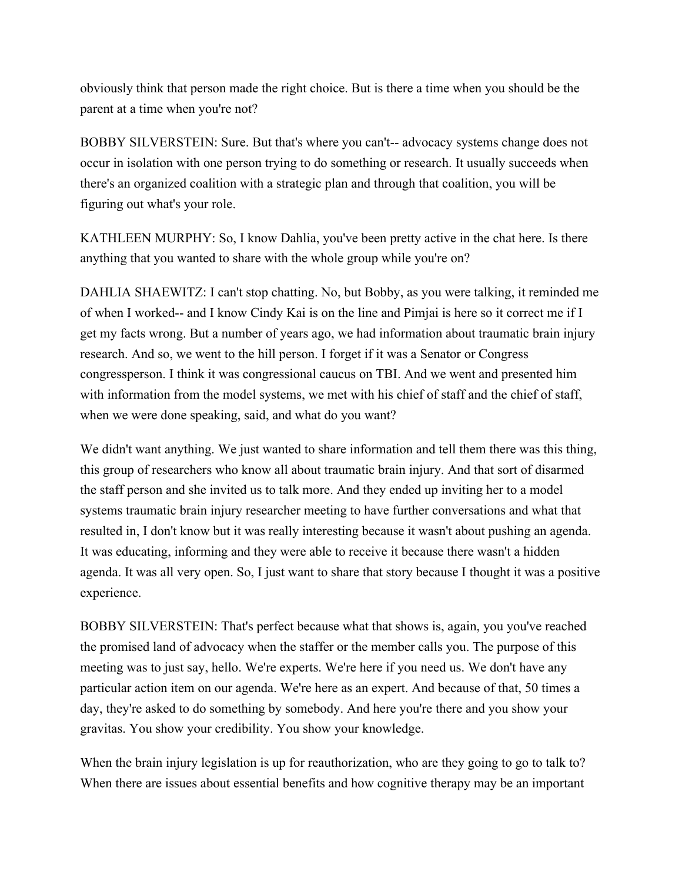obviously think that person made the right choice. But is there a time when you should be the parent at a time when you're not?

BOBBY SILVERSTEIN: Sure. But that's where you can't-- advocacy systems change does not occur in isolation with one person trying to do something or research. It usually succeeds when there's an organized coalition with a strategic plan and through that coalition, you will be figuring out what's your role.

KATHLEEN MURPHY: So, I know Dahlia, you've been pretty active in the chat here. Is there anything that you wanted to share with the whole group while you're on?

DAHLIA SHAEWITZ: I can't stop chatting. No, but Bobby, as you were talking, it reminded me of when I worked-- and I know Cindy Kai is on the line and Pimjai is here so it correct me if I get my facts wrong. But a number of years ago, we had information about traumatic brain injury research. And so, we went to the hill person. I forget if it was a Senator or Congress congressperson. I think it was congressional caucus on TBI. And we went and presented him with information from the model systems, we met with his chief of staff and the chief of staff, when we were done speaking, said, and what do you want?

We didn't want anything. We just wanted to share information and tell them there was this thing, this group of researchers who know all about traumatic brain injury. And that sort of disarmed the staff person and she invited us to talk more. And they ended up inviting her to a model systems traumatic brain injury researcher meeting to have further conversations and what that resulted in, I don't know but it was really interesting because it wasn't about pushing an agenda. It was educating, informing and they were able to receive it because there wasn't a hidden agenda. It was all very open. So, I just want to share that story because I thought it was a positive experience.

BOBBY SILVERSTEIN: That's perfect because what that shows is, again, you you've reached the promised land of advocacy when the staffer or the member calls you. The purpose of this meeting was to just say, hello. We're experts. We're here if you need us. We don't have any particular action item on our agenda. We're here as an expert. And because of that, 50 times a day, they're asked to do something by somebody. And here you're there and you show your gravitas. You show your credibility. You show your knowledge.

When the brain injury legislation is up for reauthorization, who are they going to go to talk to? When there are issues about essential benefits and how cognitive therapy may be an important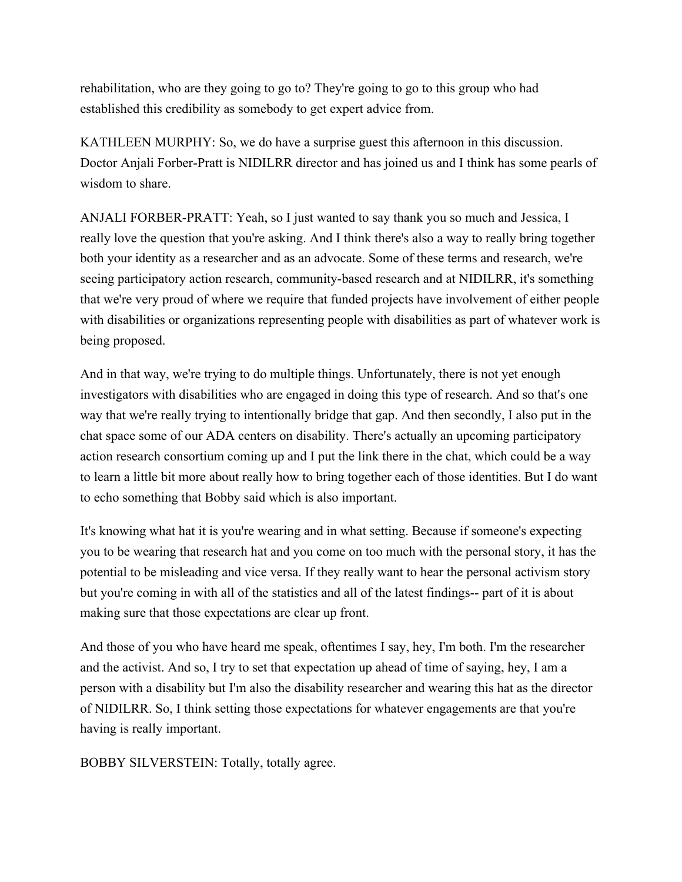rehabilitation, who are they going to go to? They're going to go to this group who had established this credibility as somebody to get expert advice from.

KATHLEEN MURPHY: So, we do have a surprise guest this afternoon in this discussion. Doctor Anjali Forber-Pratt is NIDILRR director and has joined us and I think has some pearls of wisdom to share.

ANJALI FORBER-PRATT: Yeah, so I just wanted to say thank you so much and Jessica, I really love the question that you're asking. And I think there's also a way to really bring together both your identity as a researcher and as an advocate. Some of these terms and research, we're seeing participatory action research, community-based research and at NIDILRR, it's something that we're very proud of where we require that funded projects have involvement of either people with disabilities or organizations representing people with disabilities as part of whatever work is being proposed.

And in that way, we're trying to do multiple things. Unfortunately, there is not yet enough investigators with disabilities who are engaged in doing this type of research. And so that's one way that we're really trying to intentionally bridge that gap. And then secondly, I also put in the chat space some of our ADA centers on disability. There's actually an upcoming participatory action research consortium coming up and I put the link there in the chat, which could be a way to learn a little bit more about really how to bring together each of those identities. But I do want to echo something that Bobby said which is also important.

It's knowing what hat it is you're wearing and in what setting. Because if someone's expecting you to be wearing that research hat and you come on too much with the personal story, it has the potential to be misleading and vice versa. If they really want to hear the personal activism story but you're coming in with all of the statistics and all of the latest findings-- part of it is about making sure that those expectations are clear up front.

And those of you who have heard me speak, oftentimes I say, hey, I'm both. I'm the researcher and the activist. And so, I try to set that expectation up ahead of time of saying, hey, I am a person with a disability but I'm also the disability researcher and wearing this hat as the director of NIDILRR. So, I think setting those expectations for whatever engagements are that you're having is really important.

BOBBY SILVERSTEIN: Totally, totally agree.